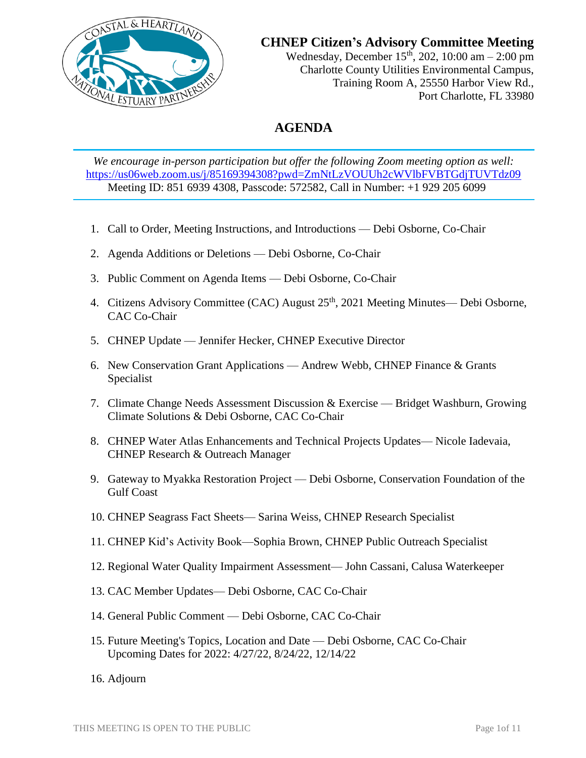

**CHNEP Citizen's Advisory Committee Meeting**

Wednesday, December  $15<sup>th</sup>$ , 202, 10:00 am – 2:00 pm Charlotte County Utilities Environmental Campus, Training Room A, 25550 Harbor View Rd., Port Charlotte, FL 33980

# **AGENDA**

*We encourage in-person participation but offer the following Zoom meeting option as well:* <https://us06web.zoom.us/j/85169394308?pwd=ZmNtLzVOUUh2cWVlbFVBTGdjTUVTdz09> Meeting ID: 851 6939 4308, Passcode: 572582, Call in Number: +1 929 205 6099

- 1. Call to Order, Meeting Instructions, and Introductions Debi Osborne, Co-Chair
- 2. Agenda Additions or Deletions Debi Osborne, Co-Chair
- 3. Public Comment on Agenda Items Debi Osborne, Co-Chair
- 4. Citizens Advisory Committee (CAC) August 25<sup>th</sup>, 2021 Meeting Minutes— Debi Osborne, CAC Co-Chair
- 5. CHNEP Update Jennifer Hecker, CHNEP Executive Director
- 6. New Conservation Grant Applications Andrew Webb, CHNEP Finance & Grants Specialist
- 7. Climate Change Needs Assessment Discussion & Exercise Bridget Washburn, Growing Climate Solutions & Debi Osborne, CAC Co-Chair
- 8. CHNEP Water Atlas Enhancements and Technical Projects Updates— Nicole Iadevaia, CHNEP Research & Outreach Manager
- 9. Gateway to Myakka Restoration Project Debi Osborne, Conservation Foundation of the Gulf Coast
- 10. CHNEP Seagrass Fact Sheets— Sarina Weiss, CHNEP Research Specialist
- 11. CHNEP Kid's Activity Book—Sophia Brown, CHNEP Public Outreach Specialist
- 12. Regional Water Quality Impairment Assessment— John Cassani, Calusa Waterkeeper
- 13. CAC Member Updates— Debi Osborne, CAC Co-Chair
- 14. General Public Comment Debi Osborne, CAC Co-Chair
- 15. Future Meeting's Topics, Location and Date Debi Osborne, CAC Co-Chair Upcoming Dates for 2022: 4/27/22, 8/24/22, 12/14/22
- 16. Adjourn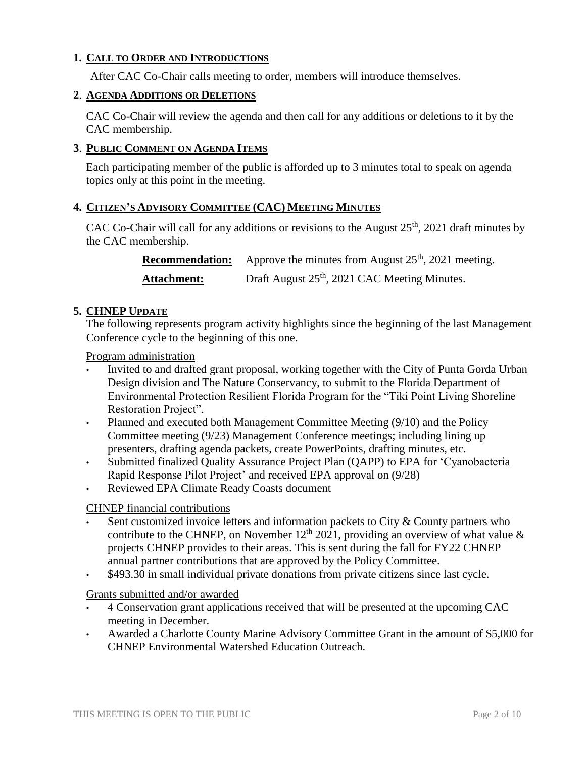### **1. CALL TO ORDER AND INTRODUCTIONS**

After CAC Co-Chair calls meeting to order, members will introduce themselves.

#### **2**. **AGENDA ADDITIONS OR DELETIONS**

CAC Co-Chair will review the agenda and then call for any additions or deletions to it by the CAC membership.

### **3**. **PUBLIC COMMENT ON AGENDA ITEMS**

Each participating member of the public is afforded up to 3 minutes total to speak on agenda topics only at this point in the meeting.

### **4. CITIZEN'S ADVISORY COMMITTEE (CAC) MEETING MINUTES**

CAC Co-Chair will call for any additions or revisions to the August  $25<sup>th</sup>$ , 2021 draft minutes by the CAC membership.

| <b>Recommendation:</b> | Approve the minutes from August $25th$ , 2021 meeting.    |
|------------------------|-----------------------------------------------------------|
| <b>Attachment:</b>     | Draft August 25 <sup>th</sup> , 2021 CAC Meeting Minutes. |

### **5. CHNEP UPDATE**

The following represents program activity highlights since the beginning of the last Management Conference cycle to the beginning of this one.

#### Program administration

- Invited to and drafted grant proposal, working together with the City of Punta Gorda Urban Design division and The Nature Conservancy, to submit to the Florida Department of Environmental Protection Resilient Florida Program for the "Tiki Point Living Shoreline Restoration Project".
- Planned and executed both Management Committee Meeting (9/10) and the Policy Committee meeting (9/23) Management Conference meetings; including lining up presenters, drafting agenda packets, create PowerPoints, drafting minutes, etc.
- Submitted finalized Quality Assurance Project Plan (QAPP) to EPA for 'Cyanobacteria Rapid Response Pilot Project' and received EPA approval on (9/28)
- Reviewed EPA Climate Ready Coasts document

### CHNEP financial contributions

- Sent customized invoice letters and information packets to City & County partners who contribute to the CHNEP, on November  $12<sup>th</sup> 2021$ , providing an overview of what value & projects CHNEP provides to their areas. This is sent during the fall for FY22 CHNEP annual partner contributions that are approved by the Policy Committee.
- \$493.30 in small individual private donations from private citizens since last cycle.

#### Grants submitted and/or awarded

- 4 Conservation grant applications received that will be presented at the upcoming CAC meeting in December.
- Awarded a Charlotte County Marine Advisory Committee Grant in the amount of \$5,000 for CHNEP Environmental Watershed Education Outreach.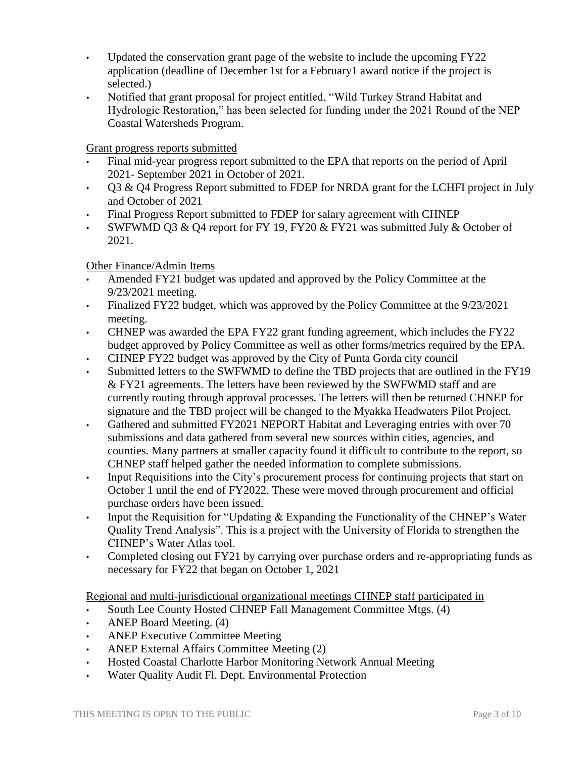- Updated the conservation grant page of the website to include the upcoming FY22 application (deadline of December 1st for a February1 award notice if the project is selected.)
- Notified that grant proposal for project entitled, "Wild Turkey Strand Habitat and Hydrologic Restoration," has been selected for funding under the 2021 Round of the NEP Coastal Watersheds Program.

Grant progress reports submitted

- Final mid-year progress report submitted to the EPA that reports on the period of April 2021- September 2021 in October of 2021.
- Q3 & Q4 Progress Report submitted to FDEP for NRDA grant for the LCHFI project in July and October of 2021
- Final Progress Report submitted to FDEP for salary agreement with CHNEP
- SWFWMD Q3 & Q4 report for FY 19, FY20 & FY21 was submitted July & October of 2021.

Other Finance/Admin Items

- Amended FY21 budget was updated and approved by the Policy Committee at the 9/23/2021 meeting.
- Finalized FY22 budget, which was approved by the Policy Committee at the 9/23/2021 meeting.
- CHNEP was awarded the EPA FY22 grant funding agreement, which includes the FY22 budget approved by Policy Committee as well as other forms/metrics required by the EPA.
- CHNEP FY22 budget was approved by the City of Punta Gorda city council
- Submitted letters to the SWFWMD to define the TBD projects that are outlined in the FY19 & FY21 agreements. The letters have been reviewed by the SWFWMD staff and are currently routing through approval processes. The letters will then be returned CHNEP for signature and the TBD project will be changed to the Myakka Headwaters Pilot Project.
- Gathered and submitted FY2021 NEPORT Habitat and Leveraging entries with over 70 submissions and data gathered from several new sources within cities, agencies, and counties. Many partners at smaller capacity found it difficult to contribute to the report, so CHNEP staff helped gather the needed information to complete submissions.
- Input Requisitions into the City's procurement process for continuing projects that start on October 1 until the end of FY2022. These were moved through procurement and official purchase orders have been issued.
- Input the Requisition for "Updating & Expanding the Functionality of the CHNEP's Water Quality Trend Analysis". This is a project with the University of Florida to strengthen the CHNEP's Water Atlas tool.
- Completed closing out FY21 by carrying over purchase orders and re-appropriating funds as necessary for FY22 that began on October 1, 2021

Regional and multi-jurisdictional organizational meetings CHNEP staff participated in

- South Lee County Hosted CHNEP Fall Management Committee Mtgs. (4)
- ANEP Board Meeting. (4)
- ANEP Executive Committee Meeting
- ANEP External Affairs Committee Meeting (2)
- Hosted Coastal Charlotte Harbor Monitoring Network Annual Meeting
- Water Quality Audit Fl. Dept. Environmental Protection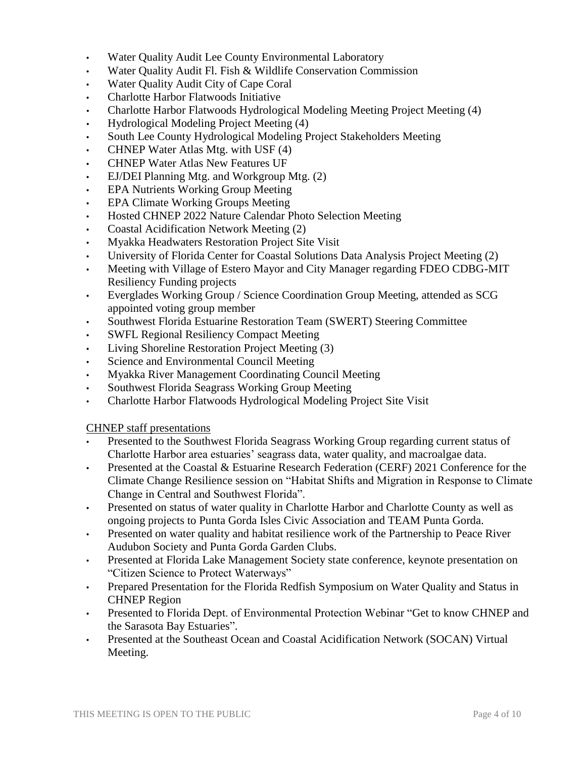- Water Quality Audit Lee County Environmental Laboratory
- Water Quality Audit Fl. Fish & Wildlife Conservation Commission
- Water Quality Audit City of Cape Coral
- Charlotte Harbor Flatwoods Initiative
- Charlotte Harbor Flatwoods Hydrological Modeling Meeting Project Meeting (4)
- Hydrological Modeling Project Meeting (4)
- South Lee County Hydrological Modeling Project Stakeholders Meeting
- CHNEP Water Atlas Mtg. with USF (4)
- CHNEP Water Atlas New Features UF
- EJ/DEI Planning Mtg. and Workgroup Mtg. (2)
- EPA Nutrients Working Group Meeting
- EPA Climate Working Groups Meeting
- Hosted CHNEP 2022 Nature Calendar Photo Selection Meeting
- Coastal Acidification Network Meeting (2)
- Myakka Headwaters Restoration Project Site Visit
- University of Florida Center for Coastal Solutions Data Analysis Project Meeting (2)
- Meeting with Village of Estero Mayor and City Manager regarding FDEO CDBG-MIT Resiliency Funding projects
- Everglades Working Group / Science Coordination Group Meeting, attended as SCG appointed voting group member
- Southwest Florida Estuarine Restoration Team (SWERT) Steering Committee
- SWFL Regional Resiliency Compact Meeting
- Living Shoreline Restoration Project Meeting (3)
- Science and Environmental Council Meeting
- Myakka River Management Coordinating Council Meeting
- Southwest Florida Seagrass Working Group Meeting
- Charlotte Harbor Flatwoods Hydrological Modeling Project Site Visit

CHNEP staff presentations

- Presented to the Southwest Florida Seagrass Working Group regarding current status of Charlotte Harbor area estuaries' seagrass data, water quality, and macroalgae data.
- Presented at the Coastal & Estuarine Research Federation (CERF) 2021 Conference for the Climate Change Resilience session on "Habitat Shifts and Migration in Response to Climate Change in Central and Southwest Florida".
- Presented on status of water quality in Charlotte Harbor and Charlotte County as well as ongoing projects to Punta Gorda Isles Civic Association and TEAM Punta Gorda.
- Presented on water quality and habitat resilience work of the Partnership to Peace River Audubon Society and Punta Gorda Garden Clubs.
- Presented at Florida Lake Management Society state conference, keynote presentation on "Citizen Science to Protect Waterways"
- Prepared Presentation for the Florida Redfish Symposium on Water Quality and Status in CHNEP Region
- Presented to Florida Dept. of Environmental Protection Webinar "Get to know CHNEP and the Sarasota Bay Estuaries".
- Presented at the Southeast Ocean and Coastal Acidification Network (SOCAN) Virtual Meeting.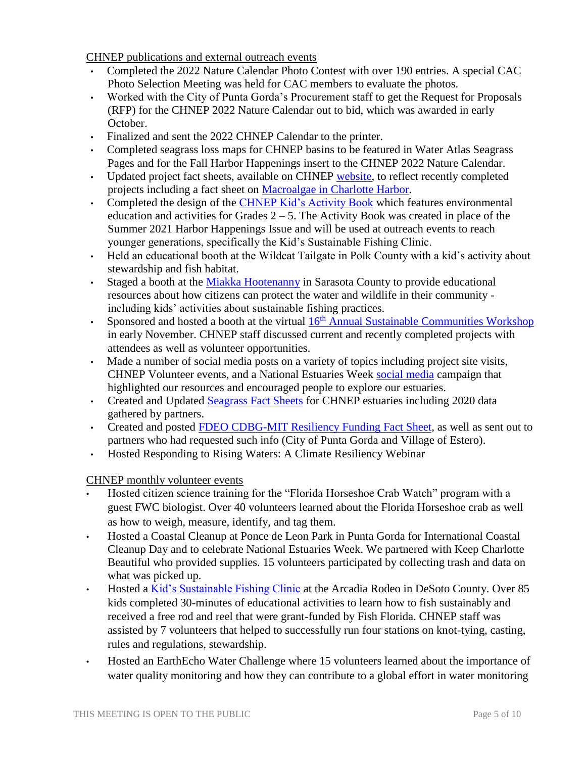CHNEP publications and external outreach events

- Completed the 2022 Nature Calendar Photo Contest with over 190 entries. A special CAC Photo Selection Meeting was held for CAC members to evaluate the photos.
- Worked with the City of Punta Gorda's Procurement staff to get the Request for Proposals (RFP) for the CHNEP 2022 Nature Calendar out to bid, which was awarded in early October.
- Finalized and sent the 2022 CHNEP Calendar to the printer.
- Completed seagrass loss maps for CHNEP basins to be featured in Water Atlas Seagrass Pages and for the Fall Harbor Happenings insert to the CHNEP 2022 Nature Calendar.
- Updated project fact sheets, available on CHNEP [website,](https://www.chnep.org/chnep-fact-sheets) to reflect recently completed projects including a fact sheet on [Macroalgae in Charlotte Harbor.](https://www.chnep.org/_files/ugd/252fd8_3d643e5404a74f5ba6a15f5b88a0918a.pdf)
- Completed the design of the [CHNEP Kid's Activity Book](https://www.chnep.org/publications) which features environmental education and activities for Grades  $2 - 5$ . The Activity Book was created in place of the Summer 2021 Harbor Happenings Issue and will be used at outreach events to reach younger generations, specifically the Kid's Sustainable Fishing Clinic.
- Held an educational booth at the Wildcat Tailgate in Polk County with a kid's activity about stewardship and fish habitat.
- Staged a booth at the [Miakka Hootenanny](https://www.facebook.com/CHNEP.Florida/) in Sarasota County to provide educational resources about how citizens can protect the water and wildlife in their community including kids' activities about sustainable fishing practices.
- Sponsored and hosted a booth at the virtual  $16<sup>th</sup>$  [Annual Sustainable Communities Workshop](https://www.scgov.net/government/sustainability/sustainability/sustainable-communities-workshop) in early November. CHNEP staff discussed current and recently completed projects with attendees as well as volunteer opportunities.
- Made a number of social media posts on a variety of topics including project site visits, CHNEP Volunteer events, and a National Estuaries Week [social media](https://www.facebook.com/CHNEP.Florida/) campaign that highlighted our resources and encouraged people to explore our estuaries.
- Created and Updated [Seagrass Fact Sheets](https://www.chnep.org/seagrass-fact-sheets) for CHNEP estuaries including 2020 data gathered by partners.
- Created and posted [FDEO CDBG-MIT Resiliency Funding Fact Sheet,](https://www.chnep.org/copy-of-federal-nep-competitive-funding) as well as sent out to partners who had requested such info (City of Punta Gorda and Village of Estero).
- Hosted Responding to Rising Waters: A Climate Resiliency Webinar

CHNEP monthly volunteer events

- Hosted citizen science training for the "Florida Horseshoe Crab Watch" program with a guest FWC biologist. Over 40 volunteers learned about the Florida Horseshoe crab as well as how to weigh, measure, identify, and tag them.
- Hosted a Coastal Cleanup at Ponce de Leon Park in Punta Gorda for International Coastal Cleanup Day and to celebrate National Estuaries Week. We partnered with Keep Charlotte Beautiful who provided supplies. 15 volunteers participated by collecting trash and data on what was picked up.
- Hosted a *Kid's Sustainable Fishing Clinic* at the Arcadia Rodeo in DeSoto County. Over 85 kids completed 30-minutes of educational activities to learn how to fish sustainably and received a free rod and reel that were grant-funded by Fish Florida. CHNEP staff was assisted by 7 volunteers that helped to successfully run four stations on knot-tying, casting, rules and regulations, stewardship.
- Hosted an EarthEcho Water Challenge where 15 volunteers learned about the importance of water quality monitoring and how they can contribute to a global effort in water monitoring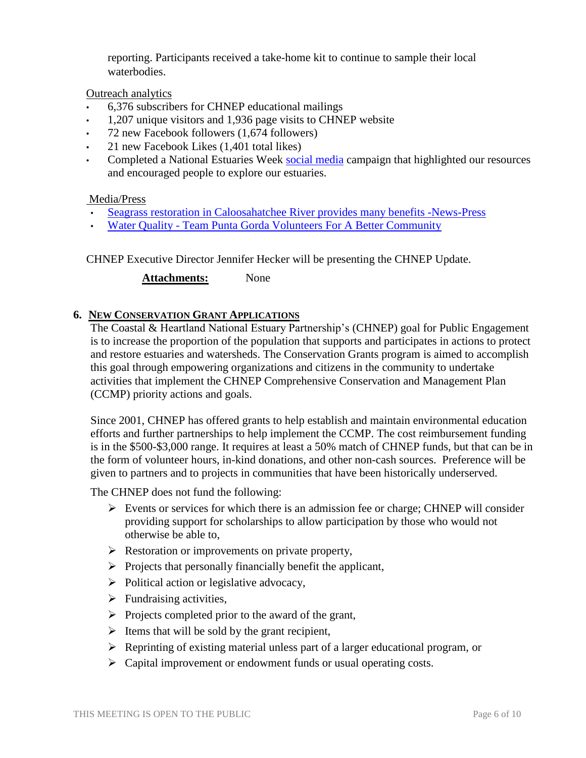reporting. Participants received a take-home kit to continue to sample their local waterbodies.

Outreach analytics

- 6,376 subscribers for CHNEP educational mailings
- 1,207 unique visitors and 1,936 page visits to CHNEP website
- 72 new Facebook followers (1,674 followers)
- 21 new Facebook Likes (1,401 total likes)
- Completed a National Estuaries Week [social media](https://www.facebook.com/CHNEP.Florida/) campaign that highlighted our resources and encouraged people to explore our estuaries.

## Media/Press

- Seagrass restoration in [Caloosahatchee](https://00f2e13b-36ff-42db-a187-b1a5d3023a82.filesusr.com/ugd/252fd8_57ca04202646411d8b8d095183949b7d.pdf) River provides many benefits -News-Press
- Water Quality [Team Punta Gorda Volunteers For A Better Community](https://teampuntagorda.org/maritime/)

CHNEP Executive Director Jennifer Hecker will be presenting the CHNEP Update.

**Attachments:** None

### **6. NEW CONSERVATION GRANT APPLICATIONS**

The Coastal & Heartland National Estuary Partnership's (CHNEP) goal for Public Engagement is to increase the proportion of the population that supports and participates in actions to protect and restore estuaries and watersheds. The Conservation Grants program is aimed to accomplish this goal through empowering organizations and citizens in the community to undertake activities that implement the CHNEP Comprehensive Conservation and Management Plan (CCMP) priority actions and goals.

Since 2001, CHNEP has offered grants to help establish and maintain environmental education efforts and further partnerships to help implement the CCMP. The cost reimbursement funding is in the \$500-\$3,000 range. It requires at least a 50% match of CHNEP funds, but that can be in the form of volunteer hours, in-kind donations, and other non-cash sources. Preference will be given to partners and to projects in communities that have been historically underserved.

The CHNEP does not fund the following:

- $\triangleright$  Events or services for which there is an admission fee or charge; CHNEP will consider providing support for scholarships to allow participation by those who would not otherwise be able to,
- $\triangleright$  Restoration or improvements on private property,
- $\triangleright$  Projects that personally financially benefit the applicant,
- $\triangleright$  Political action or legislative advocacy,
- $\triangleright$  Fundraising activities,
- $\triangleright$  Projects completed prior to the award of the grant,
- $\triangleright$  Items that will be sold by the grant recipient,
- $\triangleright$  Reprinting of existing material unless part of a larger educational program, or
- $\triangleright$  Capital improvement or endowment funds or usual operating costs.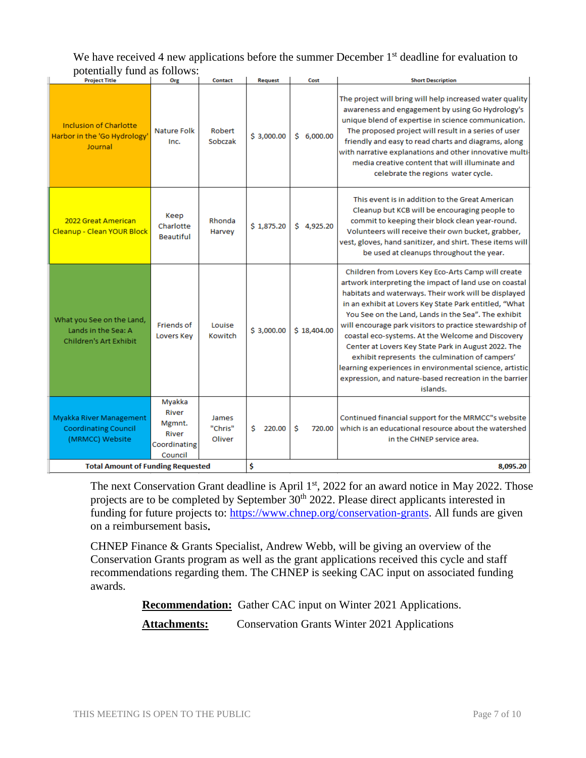### We have received 4 new applications before the summer December 1<sup>st</sup> deadline for evaluation to potentially fund as follows:

| <b>Project Title</b>                                                              | Org                                                           | <b>Contact</b>             | <b>Request</b> | Cost        | <b>Short Description</b>                                                                                                                                                                                                                                                                                                                                                                                                                                                                                                                                                                                                                        |
|-----------------------------------------------------------------------------------|---------------------------------------------------------------|----------------------------|----------------|-------------|-------------------------------------------------------------------------------------------------------------------------------------------------------------------------------------------------------------------------------------------------------------------------------------------------------------------------------------------------------------------------------------------------------------------------------------------------------------------------------------------------------------------------------------------------------------------------------------------------------------------------------------------------|
| <b>Inclusion of Charlotte</b><br>Harbor in the 'Go Hydrology'<br>Journal          | <b>Nature Folk</b><br>Inc.                                    | Robert<br>Sobczak          | \$3,000.00     | \$6,000.00  | The project will bring will help increased water quality<br>awareness and engagement by using Go Hydrology's<br>unique blend of expertise in science communication.<br>The proposed project will result in a series of user<br>friendly and easy to read charts and diagrams, along<br>with narrative explanations and other innovative multi-<br>media creative content that will illuminate and<br>celebrate the regions water cycle.                                                                                                                                                                                                         |
| 2022 Great American<br>Cleanup - Clean YOUR Block                                 | Keep<br>Charlotte<br><b>Beautiful</b>                         | Rhonda<br>Harvey           | \$1,875.20     | \$4,925.20  | This event is in addition to the Great American<br>Cleanup but KCB will be encouraging people to<br>commit to keeping their block clean year-round.<br>Volunteers will receive their own bucket, grabber,<br>vest, gloves, hand sanitizer, and shirt. These items will<br>be used at cleanups throughout the year.                                                                                                                                                                                                                                                                                                                              |
| What you See on the Land,<br>Lands in the Sea: A<br><b>Children's Art Exhibit</b> | Friends of<br>Lovers Key                                      | Louise<br>Kowitch          | \$3,000,00     | \$18,404.00 | Children from Lovers Key Eco-Arts Camp will create<br>artwork interpreting the impact of land use on coastal<br>habitats and waterways. Their work will be displayed<br>in an exhibit at Lovers Key State Park entitled, "What<br>You See on the Land, Lands in the Sea". The exhibit<br>will encourage park visitors to practice stewardship of<br>coastal eco-systems. At the Welcome and Discovery<br>Center at Lovers Key State Park in August 2022. The<br>exhibit represents the culmination of campers'<br>learning experiences in environmental science, artistic<br>expression, and nature-based recreation in the barrier<br>islands. |
| Myakka River Management<br><b>Coordinating Council</b><br>(MRMCC) Website         | Myakka<br>River<br>Mgmnt.<br>River<br>Coordinating<br>Council | James<br>"Chris"<br>Oliver | Ś.<br>220.00   | Ŝ<br>720.00 | Continued financial support for the MRMCC"s website<br>which is an educational resource about the watershed<br>in the CHNEP service area.                                                                                                                                                                                                                                                                                                                                                                                                                                                                                                       |
| <b>Total Amount of Funding Requested</b>                                          |                                                               |                            | Ś              |             | 8.095.20                                                                                                                                                                                                                                                                                                                                                                                                                                                                                                                                                                                                                                        |

The next Conservation Grant deadline is April 1<sup>st</sup>, 2022 for an award notice in May 2022. Those projects are to be completed by September 30<sup>th</sup> 2022. Please direct applicants interested in funding for future projects to: [https://www.chnep.org/conservation-grants.](https://www.chnep.org/conservation-grants) All funds are given on a reimbursement basis**.**

CHNEP Finance & Grants Specialist, Andrew Webb, will be giving an overview of the Conservation Grants program as well as the grant applications received this cycle and staff recommendations regarding them. The CHNEP is seeking CAC input on associated funding awards.

**Recommendation:** Gather CAC input on Winter 2021 Applications.

Attachments: Conservation Grants Winter 2021 Applications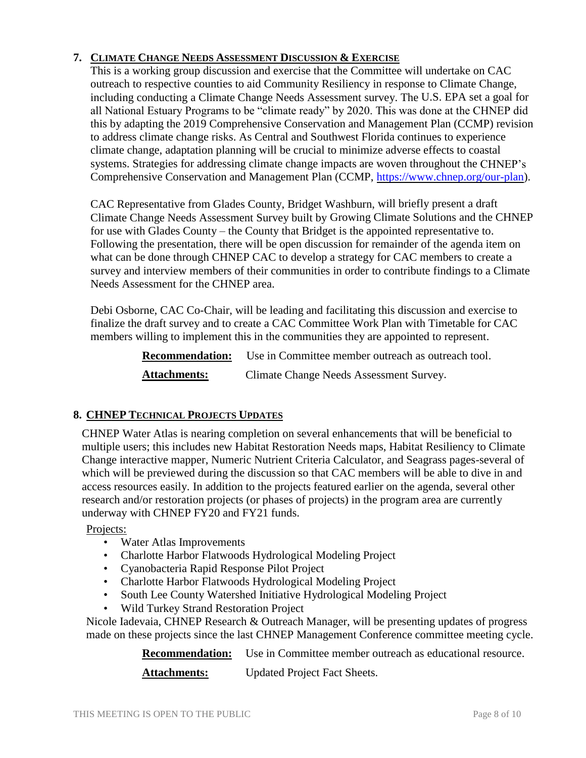# **7. CLIMATE CHANGE NEEDS ASSESSMENT DISCUSSION & EXERCISE**

This is a working group discussion and exercise that the Committee will undertake on CAC outreach to respective counties to aid Community Resiliency in response to Climate Change, including conducting a Climate Change Needs Assessment survey. The U.S. EPA set a goal for all National Estuary Programs to be "climate ready" by 2020. This was done at the CHNEP did this by adapting the 2019 Comprehensive Conservation and Management Plan (CCMP) revision to address climate change risks. As Central and Southwest Florida continues to experience climate change, adaptation planning will be crucial to minimize adverse effects to coastal systems. Strategies for addressing climate change impacts are woven throughout the CHNEP's Comprehensive Conservation and Management Plan (CCMP, [https://www.chnep.org/our-plan\)](https://www.chnep.org/our-plan).

CAC Representative from Glades County, Bridget Washburn, will briefly present a draft Climate Change Needs Assessment Survey built by Growing Climate Solutions and the CHNEP for use with Glades County – the County that Bridget is the appointed representative to. Following the presentation, there will be open discussion for remainder of the agenda item on what can be done through CHNEP CAC to develop a strategy for CAC members to create a survey and interview members of their communities in order to contribute findings to a Climate Needs Assessment for the CHNEP area.

Debi Osborne, CAC Co-Chair, will be leading and facilitating this discussion and exercise to finalize the draft survey and to create a CAC Committee Work Plan with Timetable for CAC members willing to implement this in the communities they are appointed to represent.

> **Recommendation:** Use in Committee member outreach as outreach tool. Attachments: Climate Change Needs Assessment Survey.

## **8. CHNEP TECHNICAL PROJECTS UPDATES**

CHNEP Water Atlas is nearing completion on several enhancements that will be beneficial to multiple users; this includes new Habitat Restoration Needs maps, Habitat Resiliency to Climate Change interactive mapper, Numeric Nutrient Criteria Calculator, and Seagrass pages-several of which will be previewed during the discussion so that CAC members will be able to dive in and access resources easily. In addition to the projects featured earlier on the agenda, several other research and/or restoration projects (or phases of projects) in the program area are currently underway with CHNEP FY20 and FY21 funds.

### Projects:

- Water Atlas Improvements
- Charlotte Harbor Flatwoods Hydrological Modeling Project
- Cyanobacteria Rapid Response Pilot Project
- Charlotte Harbor Flatwoods Hydrological Modeling Project
- South Lee County Watershed Initiative Hydrological Modeling Project
- Wild Turkey Strand Restoration Project

Nicole Iadevaia, CHNEP Research & Outreach Manager, will be presenting updates of progress made on these projects since the last CHNEP Management Conference committee meeting cycle.

**Recommendation:** Use in Committee member outreach as educational resource.

**Attachments:** Updated Project Fact Sheets.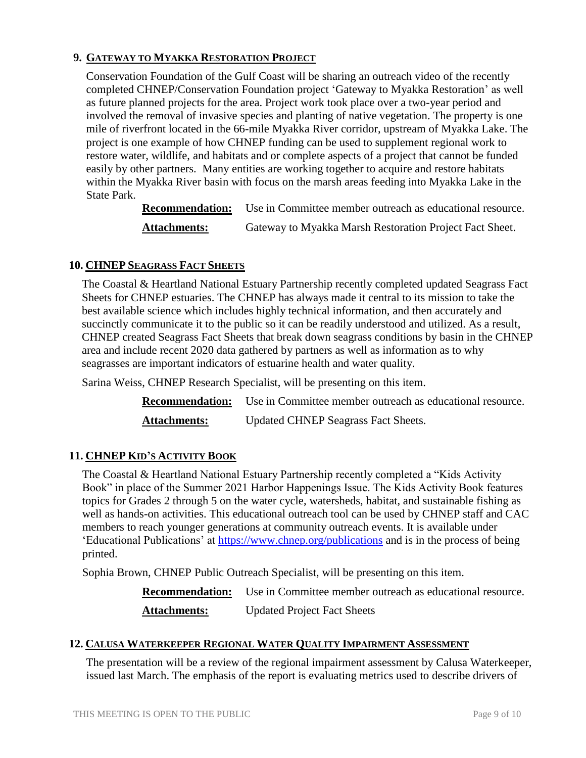# **9. GATEWAY TO MYAKKA RESTORATION PROJECT**

Conservation Foundation of the Gulf Coast will be sharing an outreach video of the recently completed CHNEP/Conservation Foundation project 'Gateway to Myakka Restoration' as well as future planned projects for the area. Project work took place over a two-year period and involved the removal of invasive species and planting of native vegetation. The property is one mile of riverfront located in the 66-mile Myakka River corridor, upstream of Myakka Lake. The project is one example of how CHNEP funding can be used to supplement regional work to restore water, wildlife, and habitats and or complete aspects of a project that cannot be funded easily by other partners. Many entities are working together to acquire and restore habitats within the Myakka River basin with focus on the marsh areas feeding into Myakka Lake in the State Park.

**Recommendation:** Use in Committee member outreach as educational resource.

**Attachments:** Gateway to Myakka Marsh Restoration Project Fact Sheet.

### **10. CHNEP SEAGRASS FACT SHEETS**

The Coastal & Heartland National Estuary Partnership recently completed updated Seagrass Fact Sheets for CHNEP estuaries. The CHNEP has always made it central to its mission to take the best available science which includes highly technical information, and then accurately and succinctly communicate it to the public so it can be readily understood and utilized. As a result, CHNEP created Seagrass Fact Sheets that break down seagrass conditions by basin in the CHNEP area and include recent 2020 data gathered by partners as well as information as to why seagrasses are important indicators of estuarine health and water quality.

Sarina Weiss, CHNEP Research Specialist, will be presenting on this item.

**Recommendation:** Use in Committee member outreach as educational resource. Attachments: Updated CHNEP Seagrass Fact Sheets.

## **11. CHNEP KID'S ACTIVITY BOOK**

The Coastal & Heartland National Estuary Partnership recently completed a "Kids Activity Book" in place of the Summer 2021 Harbor Happenings Issue. The Kids Activity Book features topics for Grades 2 through 5 on the water cycle, watersheds, habitat, and sustainable fishing as well as hands-on activities. This educational outreach tool can be used by CHNEP staff and CAC members to reach younger generations at community outreach events. It is available under 'Educational Publications' at<https://www.chnep.org/publications> and is in the process of being printed.

Sophia Brown, CHNEP Public Outreach Specialist, will be presenting on this item.

**Recommendation:** Use in Committee member outreach as educational resource. Attachments: Updated Project Fact Sheets

### **12. CALUSA WATERKEEPER REGIONAL WATER QUALITY IMPAIRMENT ASSESSMENT**

The presentation will be a review of the regional impairment assessment by Calusa Waterkeeper, issued last March. The emphasis of the report is evaluating metrics used to describe drivers of